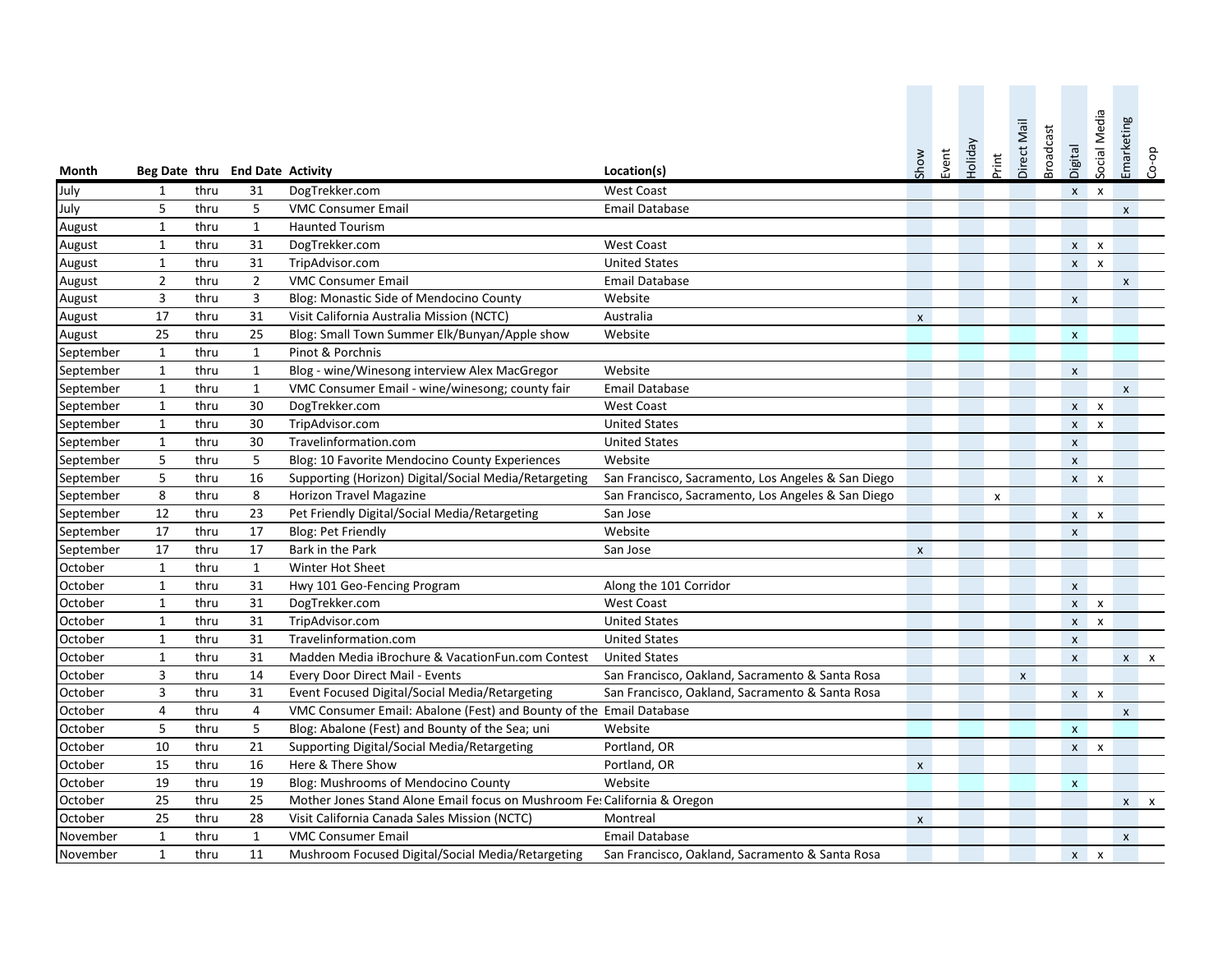| Month         |                |      | Beg Date thru End Date Activity |                                                                          | Location(s)                                        | Show               | Event | Holiday | Print | Direct Mail        | <b>Broadcast</b> | Digital                   | Social Media | Emarketing         | do-00        |
|---------------|----------------|------|---------------------------------|--------------------------------------------------------------------------|----------------------------------------------------|--------------------|-------|---------|-------|--------------------|------------------|---------------------------|--------------|--------------------|--------------|
| July          | $\mathbf{1}$   | thru | 31                              | DogTrekker.com                                                           | <b>West Coast</b>                                  |                    |       |         |       |                    |                  | $X$ $X$                   |              |                    |              |
| July          | 5              | thru | 5                               | <b>VMC Consumer Email</b>                                                | <b>Email Database</b>                              |                    |       |         |       |                    |                  |                           |              | $\pmb{\mathsf{x}}$ |              |
| August        | $\mathbf{1}$   | thru | $\mathbf{1}$                    | <b>Haunted Tourism</b>                                                   |                                                    |                    |       |         |       |                    |                  |                           |              |                    |              |
| August        | $\mathbf{1}$   | thru | 31                              | DogTrekker.com                                                           | <b>West Coast</b>                                  |                    |       |         |       |                    |                  |                           | $x \times x$ |                    |              |
| August        | $\mathbf{1}$   | thru | 31                              | TripAdvisor.com                                                          | <b>United States</b>                               |                    |       |         |       |                    |                  |                           | $x \times x$ |                    |              |
| <b>August</b> | $\overline{2}$ | thru | $\overline{2}$                  | <b>VMC Consumer Email</b>                                                | <b>Email Database</b>                              |                    |       |         |       |                    |                  |                           |              | $\pmb{\mathsf{x}}$ |              |
| August        | 3              | thru | 3                               | Blog: Monastic Side of Mendocino County                                  | Website                                            |                    |       |         |       |                    |                  | $\pmb{\mathsf{X}}$        |              |                    |              |
| August        | 17             | thru | 31                              | Visit California Australia Mission (NCTC)                                | Australia                                          | $\pmb{\mathsf{X}}$ |       |         |       |                    |                  |                           |              |                    |              |
| August        | 25             | thru | 25                              | Blog: Small Town Summer Elk/Bunyan/Apple show                            | Website                                            |                    |       |         |       |                    |                  | $\mathbf{x}$              |              |                    |              |
| September     | $\mathbf{1}$   | thru | $\mathbf{1}$                    | Pinot & Porchnis                                                         |                                                    |                    |       |         |       |                    |                  |                           |              |                    |              |
| September     | $\mathbf{1}$   | thru | $\mathbf{1}$                    | Blog - wine/Winesong interview Alex MacGregor                            | Website                                            |                    |       |         |       |                    |                  | $\mathsf{x}$              |              |                    |              |
| September     | $\mathbf{1}$   | thru | $\mathbf{1}$                    | VMC Consumer Email - wine/winesong; county fair                          | <b>Email Database</b>                              |                    |       |         |       |                    |                  |                           |              | $\pmb{\mathsf{X}}$ |              |
| September     | $\mathbf{1}$   | thru | 30                              | DogTrekker.com                                                           | <b>West Coast</b>                                  |                    |       |         |       |                    |                  |                           | $x \times x$ |                    |              |
| September     | $\mathbf{1}$   | thru | 30                              | TripAdvisor.com                                                          | <b>United States</b>                               |                    |       |         |       |                    |                  | $\mathsf{x}$              | $\mathsf{x}$ |                    |              |
| September     | $\mathbf{1}$   | thru | 30                              | Travelinformation.com                                                    | <b>United States</b>                               |                    |       |         |       |                    |                  | $\pmb{\mathsf{x}}$        |              |                    |              |
| September     | 5              | thru | 5                               | Blog: 10 Favorite Mendocino County Experiences                           | Website                                            |                    |       |         |       |                    |                  | $\pmb{\mathsf{x}}$        |              |                    |              |
| September     | 5              | thru | 16                              | Supporting (Horizon) Digital/Social Media/Retargeting                    | San Francisco, Sacramento, Los Angeles & San Diego |                    |       |         |       |                    |                  |                           | $x \times x$ |                    |              |
| September     | 8              | thru | 8                               | <b>Horizon Travel Magazine</b>                                           | San Francisco, Sacramento, Los Angeles & San Diego |                    |       |         | X     |                    |                  |                           |              |                    |              |
| September     | 12             | thru | 23                              | Pet Friendly Digital/Social Media/Retargeting                            | San Jose                                           |                    |       |         |       |                    |                  | $X$ $X$                   |              |                    |              |
| September     | 17             | thru | 17                              | <b>Blog: Pet Friendly</b>                                                | Website                                            |                    |       |         |       |                    |                  | $\pmb{\mathsf{x}}$        |              |                    |              |
| September     | 17             | thru | 17                              | Bark in the Park                                                         | San Jose                                           | $\pmb{\mathsf{x}}$ |       |         |       |                    |                  |                           |              |                    |              |
| October       | $\mathbf{1}$   | thru | $\mathbf 1$                     | Winter Hot Sheet                                                         |                                                    |                    |       |         |       |                    |                  |                           |              |                    |              |
| October       | $\mathbf{1}$   | thru | 31                              | Hwy 101 Geo-Fencing Program                                              | Along the 101 Corridor                             |                    |       |         |       |                    |                  | $\pmb{\mathsf{x}}$        |              |                    |              |
| October       | $\mathbf{1}$   | thru | 31                              | DogTrekker.com                                                           | <b>West Coast</b>                                  |                    |       |         |       |                    |                  |                           | $x \times x$ |                    |              |
| October       | $\mathbf{1}$   | thru | 31                              | TripAdvisor.com                                                          | <b>United States</b>                               |                    |       |         |       |                    |                  |                           | $x - x$      |                    |              |
| October       | $\mathbf{1}$   | thru | 31                              | Travelinformation.com                                                    | <b>United States</b>                               |                    |       |         |       |                    |                  | $\pmb{\chi}$              |              |                    |              |
| October       | $\mathbf{1}$   | thru | 31                              | Madden Media iBrochure & VacationFun.com Contest                         | <b>United States</b>                               |                    |       |         |       |                    |                  | $\mathsf{x}$              |              |                    | $x \times x$ |
| October       | 3              | thru | 14                              | Every Door Direct Mail - Events                                          | San Francisco, Oakland, Sacramento & Santa Rosa    |                    |       |         |       | $\pmb{\mathsf{X}}$ |                  |                           |              |                    |              |
| October       | 3              | thru | 31                              | Event Focused Digital/Social Media/Retargeting                           | San Francisco, Oakland, Sacramento & Santa Rosa    |                    |       |         |       |                    |                  | $x \times$                |              |                    |              |
| October       | 4              | thru | 4                               | VMC Consumer Email: Abalone (Fest) and Bounty of the Email Database      |                                                    |                    |       |         |       |                    |                  |                           |              | $\pmb{\chi}$       |              |
| October       | 5              | thru | 5                               | Blog: Abalone (Fest) and Bounty of the Sea; uni                          | Website                                            |                    |       |         |       |                    |                  | $\mathsf{x}$              |              |                    |              |
| October       | 10             | thru | 21                              | Supporting Digital/Social Media/Retargeting                              | Portland, OR                                       |                    |       |         |       |                    |                  |                           | $x \times x$ |                    |              |
| October       | 15             | thru | 16                              | Here & There Show                                                        | Portland, OR                                       | $\pmb{\mathsf{X}}$ |       |         |       |                    |                  |                           |              |                    |              |
| October       | 19             | thru | 19                              | Blog: Mushrooms of Mendocino County                                      | Website                                            |                    |       |         |       |                    |                  | $\boldsymbol{\mathsf{x}}$ |              |                    |              |
| October       | 25             | thru | 25                              | Mother Jones Stand Alone Email focus on Mushroom Fe: California & Oregon |                                                    |                    |       |         |       |                    |                  |                           |              |                    | $x \times x$ |
| October       | 25             | thru | 28                              | Visit California Canada Sales Mission (NCTC)                             | Montreal                                           | $\mathsf{x}$       |       |         |       |                    |                  |                           |              |                    |              |
| November      | $\mathbf{1}$   | thru | 1                               | <b>VMC Consumer Email</b>                                                | <b>Email Database</b>                              |                    |       |         |       |                    |                  |                           |              | $\mathsf{x}$       |              |
| November      | $\mathbf{1}$   | thru | 11                              | Mushroom Focused Digital/Social Media/Retargeting                        | San Francisco, Oakland, Sacramento & Santa Rosa    |                    |       |         |       |                    |                  |                           | $x \times x$ |                    |              |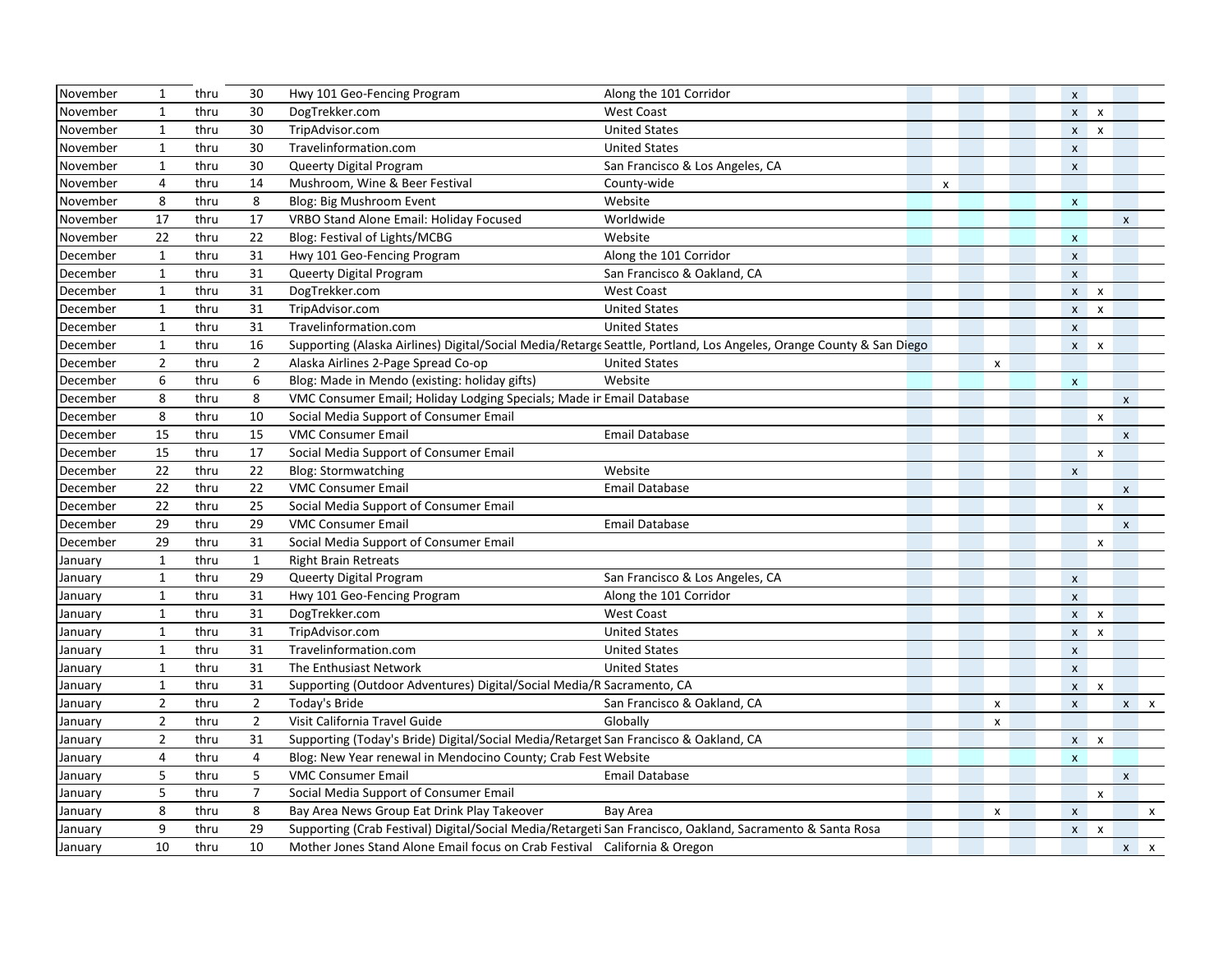| November | $\mathbf{1}$   | thru | 30             | Hwy 101 Geo-Fencing Program                                                                                         | Along the 101 Corridor          |                    |                    | $\pmb{\mathsf{X}}$ |                           |                    |              |
|----------|----------------|------|----------------|---------------------------------------------------------------------------------------------------------------------|---------------------------------|--------------------|--------------------|--------------------|---------------------------|--------------------|--------------|
| November | $\mathbf{1}$   | thru | 30             | DogTrekker.com                                                                                                      | <b>West Coast</b>               |                    |                    |                    | $x \times x$              |                    |              |
| November | $\mathbf{1}$   | thru | 30             | TripAdvisor.com                                                                                                     | <b>United States</b>            |                    |                    | $\mathsf{x}$       | $\boldsymbol{\mathsf{x}}$ |                    |              |
| November | $\mathbf{1}$   | thru | 30             | Travelinformation.com                                                                                               | <b>United States</b>            |                    |                    | $\pmb{\mathsf{X}}$ |                           |                    |              |
| November | $\mathbf{1}$   | thru | 30             | Queerty Digital Program                                                                                             | San Francisco & Los Angeles, CA |                    |                    | $\pmb{\mathsf{X}}$ |                           |                    |              |
| November | $\overline{4}$ | thru | 14             | Mushroom, Wine & Beer Festival                                                                                      | County-wide                     | $\pmb{\mathsf{X}}$ |                    |                    |                           |                    |              |
| November | 8              | thru | 8              | Blog: Big Mushroom Event                                                                                            | Website                         |                    |                    | $\pmb{\mathsf{x}}$ |                           |                    |              |
| November | 17             | thru | 17             | VRBO Stand Alone Email: Holiday Focused                                                                             | Worldwide                       |                    |                    |                    |                           | $\pmb{\mathsf{X}}$ |              |
| November | 22             | thru | 22             | Blog: Festival of Lights/MCBG                                                                                       | Website                         |                    |                    | $\pmb{\mathsf{x}}$ |                           |                    |              |
| December | $\mathbf{1}$   | thru | 31             | Hwy 101 Geo-Fencing Program                                                                                         | Along the 101 Corridor          |                    |                    | $\pmb{\mathsf{X}}$ |                           |                    |              |
| December | $\mathbf{1}$   | thru | 31             | Queerty Digital Program                                                                                             | San Francisco & Oakland, CA     |                    |                    | $\pmb{\mathsf{x}}$ |                           |                    |              |
| December | $\mathbf{1}$   | thru | 31             | DogTrekker.com                                                                                                      | <b>West Coast</b>               |                    |                    |                    | $x \times x$              |                    |              |
| December | $\mathbf{1}$   | thru | 31             | TripAdvisor.com                                                                                                     | <b>United States</b>            |                    |                    | $\mathsf{X}$       | $\boldsymbol{\mathsf{x}}$ |                    |              |
| December | $\mathbf{1}$   | thru | 31             | Travelinformation.com                                                                                               | <b>United States</b>            |                    |                    | $\pmb{\mathsf{x}}$ |                           |                    |              |
| December | 1              | thru | 16             | Supporting (Alaska Airlines) Digital/Social Media/Retarge Seattle, Portland, Los Angeles, Orange County & San Diego |                                 |                    |                    |                    | $x \times x$              |                    |              |
| December | $\overline{2}$ | thru | $\overline{2}$ | Alaska Airlines 2-Page Spread Co-op                                                                                 | <b>United States</b>            |                    | $\pmb{\mathsf{X}}$ |                    |                           |                    |              |
| December | 6              | thru | 6              | Blog: Made in Mendo (existing: holiday gifts)                                                                       | Website                         |                    |                    | $\mathsf{x}$       |                           |                    |              |
| December | 8              | thru | 8              | VMC Consumer Email; Holiday Lodging Specials; Made ir Email Database                                                |                                 |                    |                    |                    |                           | $\pmb{\mathsf{X}}$ |              |
| December | 8              | thru | 10             | Social Media Support of Consumer Email                                                                              |                                 |                    |                    |                    | X                         |                    |              |
| December | 15             | thru | 15             | <b>VMC Consumer Email</b>                                                                                           | <b>Email Database</b>           |                    |                    |                    |                           | $\mathsf{x}$       |              |
| December | 15             | thru | 17             | Social Media Support of Consumer Email                                                                              |                                 |                    |                    |                    | $\pmb{\mathsf{X}}$        |                    |              |
| December | 22             | thru | 22             | <b>Blog: Stormwatching</b>                                                                                          | Website                         |                    |                    | $\pmb{\mathsf{x}}$ |                           |                    |              |
| December | 22             | thru | 22             | <b>VMC Consumer Email</b>                                                                                           | <b>Email Database</b>           |                    |                    |                    |                           | $\pmb{\mathsf{x}}$ |              |
| December | 22             | thru | 25             | Social Media Support of Consumer Email                                                                              |                                 |                    |                    |                    | $\pmb{\mathsf{x}}$        |                    |              |
| December | 29             | thru | 29             | <b>VMC Consumer Email</b>                                                                                           | <b>Email Database</b>           |                    |                    |                    |                           | $\pmb{\mathsf{X}}$ |              |
| December | 29             | thru | 31             | Social Media Support of Consumer Email                                                                              |                                 |                    |                    |                    | $\pmb{\mathsf{x}}$        |                    |              |
| January  | $\mathbf{1}$   | thru | $\mathbf{1}$   | <b>Right Brain Retreats</b>                                                                                         |                                 |                    |                    |                    |                           |                    |              |
| January  | $\mathbf{1}$   | thru | 29             | Queerty Digital Program                                                                                             | San Francisco & Los Angeles, CA |                    |                    | $\pmb{\mathsf{X}}$ |                           |                    |              |
| January  | $\mathbf{1}$   | thru | 31             | Hwy 101 Geo-Fencing Program                                                                                         | Along the 101 Corridor          |                    |                    | $\mathsf{x}$       |                           |                    |              |
| January  | $\mathbf{1}$   | thru | 31             | DogTrekker.com                                                                                                      | <b>West Coast</b>               |                    |                    |                    | $x \times x$              |                    |              |
| January  | $\mathbf{1}$   | thru | 31             | TripAdvisor.com                                                                                                     | <b>United States</b>            |                    |                    |                    | $x \times x$              |                    |              |
| January  | $\mathbf{1}$   | thru | 31             | Travelinformation.com                                                                                               | <b>United States</b>            |                    |                    | $\pmb{\mathsf{X}}$ |                           |                    |              |
| January  | $\mathbf{1}$   | thru | 31             | The Enthusiast Network                                                                                              | <b>United States</b>            |                    |                    | $\pmb{\mathsf{x}}$ |                           |                    |              |
| January  | $\mathbf{1}$   | thru | 31             | Supporting (Outdoor Adventures) Digital/Social Media/R Sacramento, CA                                               |                                 |                    |                    |                    | $x \times x$              |                    |              |
| January  | $\mathbf{2}$   | thru | $\overline{2}$ | Today's Bride                                                                                                       | San Francisco & Oakland, CA     |                    | X                  | $\pmb{\chi}$       |                           |                    | $x \times x$ |
| January  | $\overline{2}$ | thru | $\overline{2}$ | Visit California Travel Guide                                                                                       | Globally                        |                    | $\pmb{\mathsf{x}}$ |                    |                           |                    |              |
| January  | $\overline{2}$ | thru | 31             | Supporting (Today's Bride) Digital/Social Media/Retarget San Francisco & Oakland, CA                                |                                 |                    |                    |                    | $x \times x$              |                    |              |
| January  | $\overline{4}$ | thru | 4              | Blog: New Year renewal in Mendocino County; Crab Fest Website                                                       |                                 |                    |                    | $\pmb{\times}$     |                           |                    |              |
| January  | 5              | thru | 5              | <b>VMC Consumer Email</b>                                                                                           | <b>Email Database</b>           |                    |                    |                    |                           | $\pmb{\mathsf{x}}$ |              |
| January  | 5              | thru | $\overline{7}$ | Social Media Support of Consumer Email                                                                              |                                 |                    |                    |                    | $\pmb{\mathsf{x}}$        |                    |              |
| January  | 8              | thru | 8              | Bay Area News Group Eat Drink Play Takeover                                                                         | Bay Area                        |                    | $\pmb{\mathsf{X}}$ | $\pmb{\times}$     |                           |                    | $\mathsf{x}$ |
| January  | 9              | thru | 29             | Supporting (Crab Festival) Digital/Social Media/Retargeti San Francisco, Oakland, Sacramento & Santa Rosa           |                                 |                    |                    |                    | $x \times x$              |                    |              |
| January  | 10             | thru | 10             | Mother Jones Stand Alone Email focus on Crab Festival California & Oregon                                           |                                 |                    |                    |                    |                           |                    | $x \times x$ |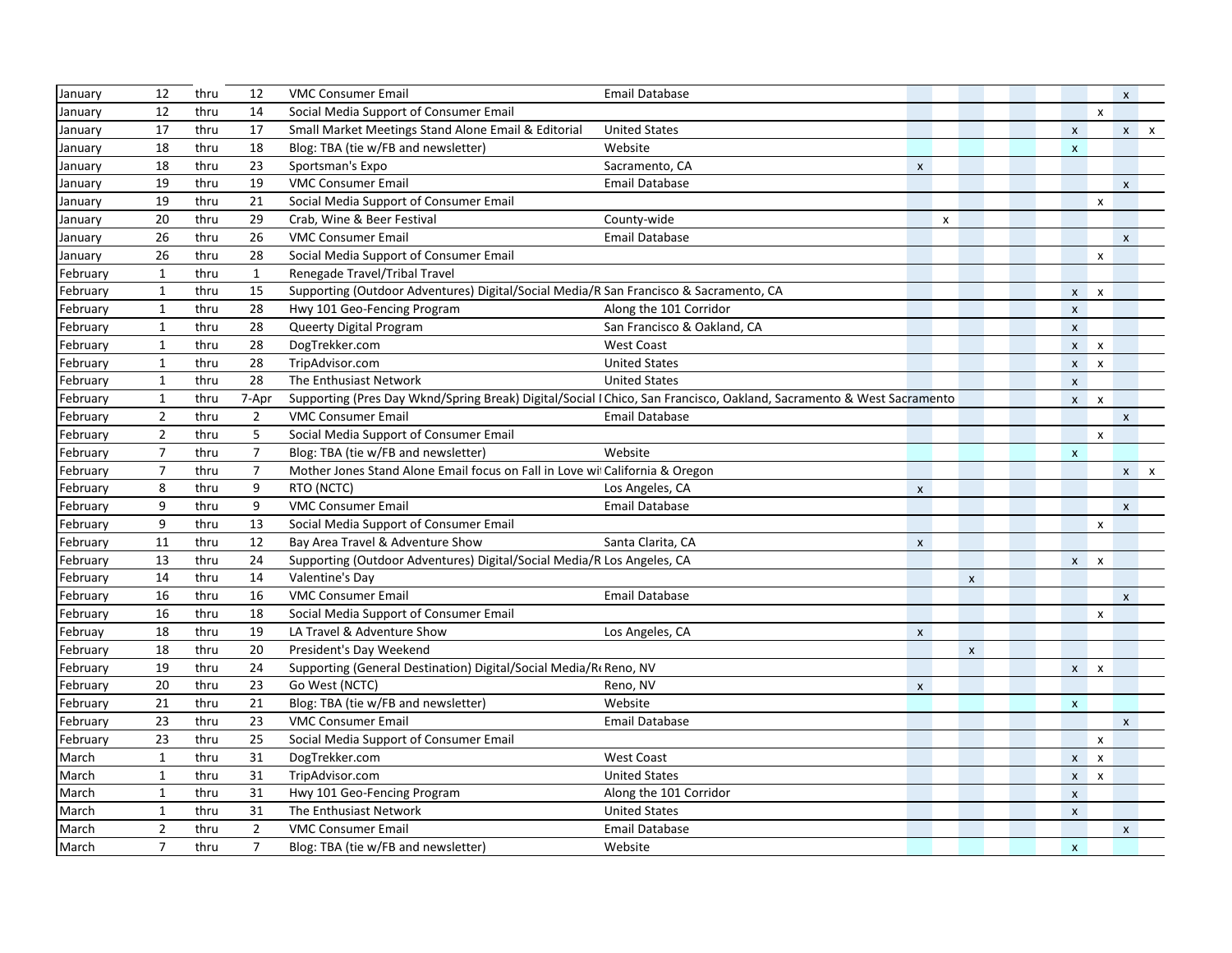| January  | 12             | thru | 12             | <b>VMC Consumer Email</b>                                                             | <b>Email Database</b>                                                                                                |                           |   |                    |                           |                           | X                  |              |
|----------|----------------|------|----------------|---------------------------------------------------------------------------------------|----------------------------------------------------------------------------------------------------------------------|---------------------------|---|--------------------|---------------------------|---------------------------|--------------------|--------------|
| January  | 12             | thru | 14             | Social Media Support of Consumer Email                                                |                                                                                                                      |                           |   |                    |                           | $\pmb{\mathsf{x}}$        |                    |              |
| January  | 17             | thru | 17             | Small Market Meetings Stand Alone Email & Editorial                                   | <b>United States</b>                                                                                                 |                           |   |                    | $\pmb{\times}$            |                           |                    | $x \times x$ |
| January  | 18             | thru | 18             | Blog: TBA (tie w/FB and newsletter)                                                   | Website                                                                                                              |                           |   |                    | $\pmb{\mathsf{X}}$        |                           |                    |              |
| January  | 18             | thru | 23             | Sportsman's Expo                                                                      | Sacramento, CA                                                                                                       | $\pmb{\mathsf{x}}$        |   |                    |                           |                           |                    |              |
| January  | 19             | thru | 19             | <b>VMC Consumer Email</b>                                                             | Email Database                                                                                                       |                           |   |                    |                           |                           | $\pmb{\mathsf{X}}$ |              |
| January  | 19             | thru | 21             | Social Media Support of Consumer Email                                                |                                                                                                                      |                           |   |                    |                           | X                         |                    |              |
| January  | 20             | thru | 29             | Crab, Wine & Beer Festival                                                            | County-wide                                                                                                          |                           | X |                    |                           |                           |                    |              |
| January  | 26             | thru | 26             | <b>VMC Consumer Email</b>                                                             | Email Database                                                                                                       |                           |   |                    |                           |                           | $\pmb{\mathsf{x}}$ |              |
| January  | 26             | thru | 28             | Social Media Support of Consumer Email                                                |                                                                                                                      |                           |   |                    |                           | $\pmb{\mathsf{x}}$        |                    |              |
| February | $\mathbf{1}$   | thru | $\mathbf{1}$   | Renegade Travel/Tribal Travel                                                         |                                                                                                                      |                           |   |                    |                           |                           |                    |              |
| February | $\mathbf{1}$   | thru | 15             | Supporting (Outdoor Adventures) Digital/Social Media/R San Francisco & Sacramento, CA |                                                                                                                      |                           |   |                    |                           | $x \times$                |                    |              |
| February | $\mathbf{1}$   | thru | 28             | Hwy 101 Geo-Fencing Program                                                           | Along the 101 Corridor                                                                                               |                           |   |                    | $\pmb{\times}$            |                           |                    |              |
| February | $\mathbf{1}$   | thru | 28             | Queerty Digital Program                                                               | San Francisco & Oakland, CA                                                                                          |                           |   |                    | $\pmb{\mathsf{X}}$        |                           |                    |              |
| February | $\mathbf{1}$   | thru | 28             | DogTrekker.com                                                                        | <b>West Coast</b>                                                                                                    |                           |   |                    |                           | $x \times x$              |                    |              |
| February | $\mathbf{1}$   | thru | 28             | TripAdvisor.com                                                                       | <b>United States</b>                                                                                                 |                           |   |                    |                           | $x \times x$              |                    |              |
| February | $\mathbf{1}$   | thru | 28             | The Enthusiast Network                                                                | <b>United States</b>                                                                                                 |                           |   |                    | $\pmb{\mathsf{X}}$        |                           |                    |              |
| February | $\mathbf{1}$   | thru | 7-Apr          |                                                                                       | Supporting (Pres Day Wknd/Spring Break) Digital/Social I Chico, San Francisco, Oakland, Sacramento & West Sacramento |                           |   |                    |                           | $x \times x$              |                    |              |
| February | $\overline{2}$ | thru | $\overline{2}$ | <b>VMC Consumer Email</b>                                                             | Email Database                                                                                                       |                           |   |                    |                           |                           | $\pmb{\mathsf{X}}$ |              |
| February | $\overline{2}$ | thru | 5              | Social Media Support of Consumer Email                                                |                                                                                                                      |                           |   |                    |                           | $\boldsymbol{\mathsf{x}}$ |                    |              |
| February | $\overline{7}$ | thru | $\overline{7}$ | Blog: TBA (tie w/FB and newsletter)                                                   | Website                                                                                                              |                           |   |                    | $\pmb{\mathsf{X}}$        |                           |                    |              |
| February | $\overline{7}$ | thru | $\overline{7}$ | Mother Jones Stand Alone Email focus on Fall in Love wi California & Oregon           |                                                                                                                      |                           |   |                    |                           |                           |                    | $x \times x$ |
| February | 8              | thru | 9              | RTO (NCTC)                                                                            | Los Angeles, CA                                                                                                      | $\pmb{\mathsf{x}}$        |   |                    |                           |                           |                    |              |
| February | 9              | thru | 9              | <b>VMC Consumer Email</b>                                                             | Email Database                                                                                                       |                           |   |                    |                           |                           | $\pmb{\mathsf{x}}$ |              |
| February | 9              | thru | 13             | Social Media Support of Consumer Email                                                |                                                                                                                      |                           |   |                    |                           | X                         |                    |              |
| February | 11             | thru | 12             | Bay Area Travel & Adventure Show                                                      | Santa Clarita, CA                                                                                                    | $\boldsymbol{\mathsf{X}}$ |   |                    |                           |                           |                    |              |
| February | 13             | thru | 24             | Supporting (Outdoor Adventures) Digital/Social Media/R Los Angeles, CA                |                                                                                                                      |                           |   |                    | $\mathsf{X}^-$            | $\boldsymbol{\mathsf{x}}$ |                    |              |
| February | 14             | thru | 14             | Valentine's Day                                                                       |                                                                                                                      |                           |   | $\pmb{\chi}$       |                           |                           |                    |              |
| February | 16             | thru | 16             | <b>VMC Consumer Email</b>                                                             | Email Database                                                                                                       |                           |   |                    |                           |                           | $\mathsf{x}$       |              |
| February | 16             | thru | 18             | Social Media Support of Consumer Email                                                |                                                                                                                      |                           |   |                    |                           | X                         |                    |              |
| Februay  | 18             | thru | 19             | LA Travel & Adventure Show                                                            | Los Angeles, CA                                                                                                      | $\boldsymbol{\mathsf{x}}$ |   |                    |                           |                           |                    |              |
| February | 18             | thru | 20             | President's Day Weekend                                                               |                                                                                                                      |                           |   | $\pmb{\mathsf{x}}$ |                           |                           |                    |              |
| February | 19             | thru | 24             | Supporting (General Destination) Digital/Social Media/R(Reno, NV                      |                                                                                                                      |                           |   |                    |                           | $x \times x$              |                    |              |
| February | 20             | thru | 23             | Go West (NCTC)                                                                        | Reno, NV                                                                                                             | $\pmb{\mathsf{X}}$        |   |                    |                           |                           |                    |              |
| February | 21             | thru | 21             | Blog: TBA (tie w/FB and newsletter)                                                   | Website                                                                                                              |                           |   |                    | $\pmb{\mathsf{X}}$        |                           |                    |              |
| February | 23             | thru | 23             | <b>VMC Consumer Email</b>                                                             | Email Database                                                                                                       |                           |   |                    |                           |                           | $\mathsf{x}$       |              |
| February | 23             | thru | 25             | Social Media Support of Consumer Email                                                |                                                                                                                      |                           |   |                    |                           | $\mathsf{x}$              |                    |              |
| March    | 1              | thru | 31             | DogTrekker.com                                                                        | <b>West Coast</b>                                                                                                    |                           |   |                    | $\boldsymbol{\mathsf{x}}$ | $\boldsymbol{\mathsf{x}}$ |                    |              |
| March    | $\mathbf{1}$   | thru | 31             | TripAdvisor.com                                                                       | <b>United States</b>                                                                                                 |                           |   |                    | $\mathsf{x}$              | $\mathsf{x}$              |                    |              |
| March    | $\mathbf{1}$   | thru | 31             | Hwy 101 Geo-Fencing Program                                                           | Along the 101 Corridor                                                                                               |                           |   |                    | $\pmb{\mathsf{X}}$        |                           |                    |              |
| March    | $\mathbf{1}$   | thru | 31             | The Enthusiast Network                                                                | <b>United States</b>                                                                                                 |                           |   |                    | $\pmb{\mathsf{X}}$        |                           |                    |              |
| March    | $\overline{2}$ | thru | $\overline{2}$ | <b>VMC Consumer Email</b>                                                             | <b>Email Database</b>                                                                                                |                           |   |                    |                           |                           | $\pmb{\mathsf{x}}$ |              |
| March    | $\overline{7}$ | thru | $\overline{7}$ | Blog: TBA (tie w/FB and newsletter)                                                   | Website                                                                                                              |                           |   |                    | $\mathsf{x}$              |                           |                    |              |